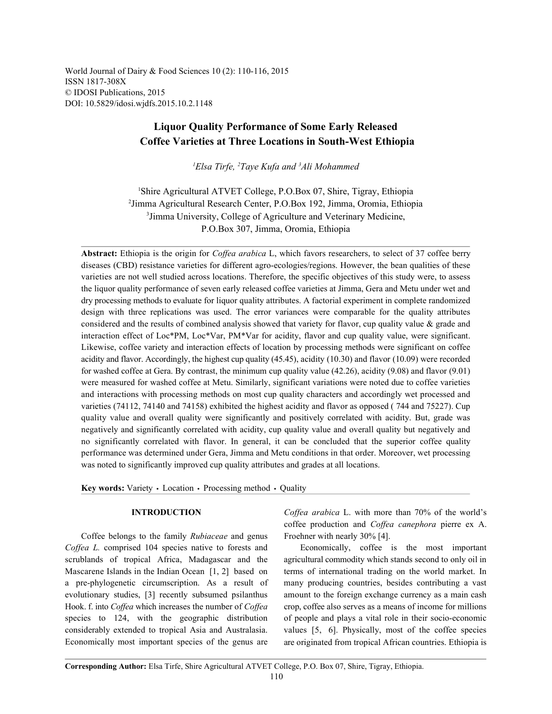World Journal of Dairy & Food Sciences 10 (2): 110-116, 2015 ISSN 1817-308X © IDOSI Publications, 2015 DOI: 10.5829/idosi.wjdfs.2015.10.2.1148

# **Liquor Quality Performance of Some Early Released Coffee Varieties at Three Locations in South-West Ethiopia**

<sup>1</sup>Elsa Tirfe, <sup>2</sup>Taye Kufa and <sup>3</sup>Ali Mohammed

Shire Agricultural ATVET College, P.O.Box 07, Shire, Tigray, Ethiopia <sup>1</sup> <sup>2</sup>Jimma Agricultural Research Center, P.O.Box 192, Jimma, Oromia, Ethiopia <sup>3</sup> Jimma University, College of Agriculture and Veterinary Medicine, P.O.Box 307, Jimma, Oromia, Ethiopia

**Abstract:** Ethiopia is the origin for *Coffea arabica* L, which favors researchers, to select of 37 coffee berry diseases (CBD) resistance varieties for different agro-ecologies/regions. However, the bean qualities of these varieties are not well studied across locations. Therefore, the specific objectives of this study were, to assess the liquor quality performance of seven early released coffee varieties at Jimma, Gera and Metu under wet and dry processing methods to evaluate for liquor quality attributes. A factorial experiment in complete randomized design with three replications was used. The error variances were comparable for the quality attributes considered and the results of combined analysis showed that variety for flavor, cup quality value  $\&$  grade and interaction effect of Loc\*PM, Loc\*Var, PM\*Var for acidity, flavor and cup quality value, were significant. Likewise, coffee variety and interaction effects of location by processing methods were significant on coffee acidity and flavor. Accordingly, the highest cup quality (45.45), acidity (10.30) and flavor (10.09) were recorded for washed coffee at Gera. By contrast, the minimum cup quality value (42.26), acidity (9.08) and flavor (9.01) were measured for washed coffee at Metu. Similarly, significant variations were noted due to coffee varieties and interactions with processing methods on most cup quality characters and accordingly wet processed and varieties (74112, 74140 and 74158) exhibited the highest acidity and flavor as opposed ( 744 and 75227). Cup quality value and overall quality were significantly and positively correlated with acidity. But, grade was negatively and significantly correlated with acidity, cup quality value and overall quality but negatively and no significantly correlated with flavor. In general, it can be concluded that the superior coffee quality performance was determined under Gera, Jimma and Metu conditions in that order. Moreover, wet processing was noted to significantly improved cup quality attributes and grades at all locations.

Key words: Variety · Location · Processing method · Quality

Coffee belongs to the family *Rubiaceae* and genus Froehner with nearly 30% [4]. *Coffea L.* comprised 104 species native to forests and Economically, coffee is the most important scrublands of tropical Africa, Madagascar and the agricultural commodity which stands second to only oil in Mascarene Islands in the Indian Ocean [1, 2] based on terms of international trading on the world market. In a pre-phylogenetic circumscription. As a result of many producing countries, besides contributing a vast evolutionary studies, [3] recently subsumed psilanthus amount to the foreign exchange currency as a main cash Hook. f. into *Coffea* which increases the number of *Coffea* crop, coffee also serves as a means of income for millions species to 124, with the geographic distribution of people and plays a vital role in their socio-economic considerably extended to tropical Asia and Australasia. values [5, 6]. Physically, most of the coffee species Economically most important species of the genus are

**INTRODUCTION** *Coffea arabica* L. with more than 70% of the world's coffee production and *Coffea canephora* pierre ex A.

are originated from tropical African countries. Ethiopia is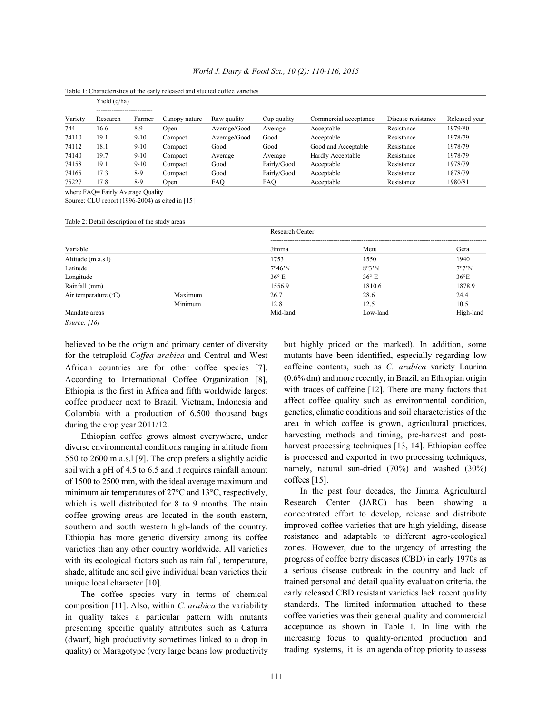| <i>World J. Dairy &amp; Food Sci., 10 (2): 110-116, 2015</i> |  |  |
|--------------------------------------------------------------|--|--|
|                                                              |  |  |

|         | Yield (q/ha)           |        |               |              |             |                       |                    |               |  |
|---------|------------------------|--------|---------------|--------------|-------------|-----------------------|--------------------|---------------|--|
|         | ---------------------- |        |               |              |             |                       |                    |               |  |
| Variety | Research               | Farmer | Canopy nature | Raw quality  | Cup quality | Commercial acceptance | Disease resistance | Released year |  |
| 744     | 16.6                   | 8.9    | Open          | Average/Good | Average     | Acceptable            | Resistance         | 1979/80       |  |
| 74110   | 19.1                   | $9-10$ | Compact       | Average/Good | Good        | Acceptable            | Resistance         | 1978/79       |  |
| 74112   | 18.1                   | $9-10$ | Compact       | Good         | Good        | Good and Acceptable   | Resistance         | 1978/79       |  |
| 74140   | 19.7                   | $9-10$ | Compact       | Average      | Average     | Hardly Acceptable     | Resistance         | 1978/79       |  |
| 74158   | 19.1                   | $9-10$ | Compact       | Good         | Fairly/Good | Acceptable            | Resistance         | 1978/79       |  |
| 74165   | 17.3                   | 8-9    | Compact       | Good         | Fairly/Good | Acceptable            | Resistance         | 1878/79       |  |
| 75227   | 17.8                   | $8-9$  | Open          | <b>FAO</b>   | FAO.        | Acceptable            | Resistance         | 1980/81       |  |

Table 1: Characteristics of the early released and studied coffee varieties

where FAQ= Fairly Average Quality

Source: CLU report (1996-2004) as cited in [15]

Table 2: Detail description of the study areas

|                                 |         | <b>Research Center</b>  |                |               |  |  |  |
|---------------------------------|---------|-------------------------|----------------|---------------|--|--|--|
| Variable                        |         | Jimma                   | Metu           | Gera          |  |  |  |
| Altitude (m.a.s.l)              |         | 1753                    | 1550           | 1940          |  |  |  |
| Latitude                        |         | $7^{\circ}46^{\prime}N$ | 8°3'N          | 7°7'N         |  |  |  |
| Longitude                       |         | $36^{\circ}$ E          | $36^{\circ}$ E | $36^{\circ}E$ |  |  |  |
| Rainfall (mm)                   |         | 1556.9                  | 1810.6         | 1878.9        |  |  |  |
| Air temperature $({}^{\circ}C)$ | Maximum | 26.7                    | 28.6           | 24.4          |  |  |  |
|                                 | Minimum | 12.8                    | 12.5           | 10.5          |  |  |  |
| Mandate areas                   |         | Mid-land                | Low-land       | High-land     |  |  |  |

*Source: [16]*

believed to be the origin and primary center of diversity but highly priced or the marked). In addition, some for the tetraploid *Coffea arabica* and Central and West mutants have been identified, especially regarding low African countries are for other coffee species [7]. According to International Coffee Organization [8], Ethiopia is the first in Africa and fifth worldwide largest coffee producer next to Brazil, Vietnam, Indonesia and Colombia with a production of 6,500 thousand bags during the crop year 2011/12.

Ethiopian coffee grows almost everywhere, under diverse environmental conditions ranging in altitude from 550 to 2600 m.a.s.l [9]. The crop prefers a slightly acidic soil with a pH of 4.5 to 6.5 and it requires rainfall amount of 1500 to 2500 mm, with the ideal average maximum and minimum air temperatures of 27°C and 13°C, respectively, which is well distributed for 8 to 9 months. The main coffee growing areas are located in the south eastern, southern and south western high-lands of the country. Ethiopia has more genetic diversity among its coffee varieties than any other country worldwide. All varieties with its ecological factors such as rain fall, temperature, shade, altitude and soil give individual bean varieties their unique local character [10].

The coffee species vary in terms of chemical composition [11]. Also, within *C. arabica* the variability in quality takes a particular pattern with mutants presenting specific quality attributes such as Caturra (dwarf, high productivity sometimes linked to a drop in quality) or Maragotype (very large beans low productivity caffeine contents, such as *C. arabica* variety Laurina (0.6% dm) and more recently, in Brazil, an Ethiopian origin with traces of caffeine [12]. There are many factors that affect coffee quality such as environmental condition, genetics, climatic conditions and soil characteristics of the area in which coffee is grown, agricultural practices, harvesting methods and timing, pre-harvest and postharvest processing techniques [13, 14]. Ethiopian coffee is processed and exported in two processing techniques, namely, natural sun-dried (70%) and washed (30%) coffees [15].

In the past four decades, the Jimma Agricultural Research Center (JARC) has been showing a concentrated effort to develop, release and distribute improved coffee varieties that are high yielding, disease resistance and adaptable to different agro-ecological zones. However, due to the urgency of arresting the progress of coffee berry diseases (CBD) in early 1970s as a serious disease outbreak in the country and lack of trained personal and detail quality evaluation criteria, the early released CBD resistant varieties lack recent quality standards. The limited information attached to these coffee varieties was their general quality and commercial acceptance as shown in Table 1. In line with the increasing focus to quality-oriented production and trading systems, it is an agenda of top priority to assess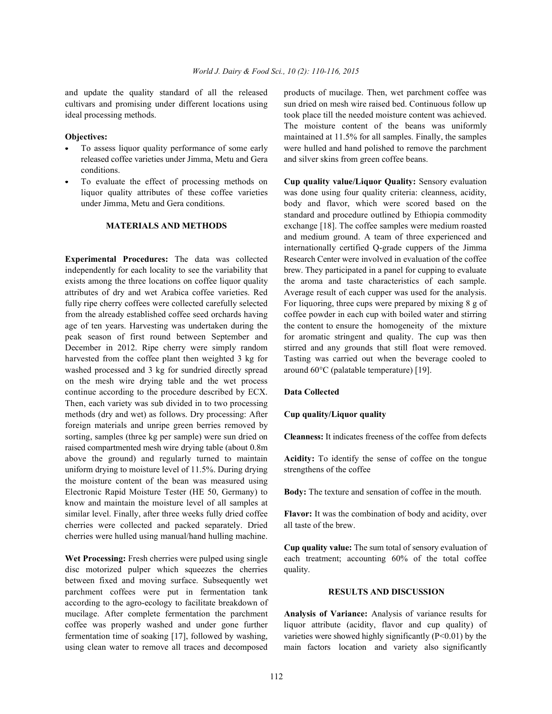cultivars and promising under different locations using sun dried on mesh wire raised bed. Continuous follow up ideal processing methods. took place till the needed moisture content was achieved.

- released coffee varieties under Jimma, Metu and Gera and silver skins from green coffee beans. conditions.
- 

independently for each locality to see the variability that brew. They participated in a panel for cupping to evaluate exists among the three locations on coffee liquor quality the aroma and taste characteristics of each sample. attributes of dry and wet Arabica coffee varieties. Red Average result of each cupper was used for the analysis. fully ripe cherry coffees were collected carefully selected For liquoring, three cups were prepared by mixing 8 g of from the already established coffee seed orchards having coffee powder in each cup with boiled water and stirring age of ten years. Harvesting was undertaken during the the content to ensure the homogeneity of the mixture peak season of first round between September and for aromatic stringent and quality. The cup was then December in 2012. Ripe cherry were simply random stirred and any grounds that still float were removed. harvested from the coffee plant then weighted 3 kg for Tasting was carried out when the beverage cooled to washed processed and 3 kg for sundried directly spread around 60°C (palatable temperature) [19]. on the mesh wire drying table and the wet process continue according to the procedure described by ECX. **Data Collected**  Then, each variety was sub divided in to two processing methods (dry and wet) as follows. Dry processing: After **Cup quality/Liquor quality**  foreign materials and unripe green berries removed by sorting, samples (three kg per sample) were sun dried on **Cleanness:** It indicates freeness of the coffee from defects raised compartmented mesh wire drying table (about 0.8m above the ground) and regularly turned to maintain **Acidity:** To identify the sense of coffee on the tongue uniform drying to moisture level of  $11.5\%$ . During drying strengthens of the coffee the moisture content of the bean was measured using Electronic Rapid Moisture Tester (HE 50, Germany) to **Body:** The texture and sensation of coffee in the mouth. know and maintain the moisture level of all samples at similar level. Finally, after three weeks fully dried coffee **Flavor:** It was the combination of body and acidity, over cherries were collected and packed separately. Dried all taste of the brew. cherries were hulled using manual/hand hulling machine.

disc motorized pulper which squeezes the cherries quality. between fixed and moving surface. Subsequently wet parchment coffees were put in fermentation tank **RESULTS AND DISCUSSION** according to the agro-ecology to facilitate breakdown of mucilage. After complete fermentation the parchment **Analysis of Variance:** Analysis of variance results for coffee was properly washed and under gone further liquor attribute (acidity, flavor and cup quality) of fermentation time of soaking [17], followed by washing, varieties were showed highly significantly (P<0.01) by the using clean water to remove all traces and decomposed main factors location and variety also significantly

and update the quality standard of all the released products of mucilage. Then, wet parchment coffee was **Objectives:** maintained at 11.5% for all samples. Finally, the samples To assess liquor quality performance of some early were hulled and hand polished to remove the parchment The moisture content of the beans was uniformly

To evaluate the effect of processing methods on **Cup quality value/Liquor Quality:** Sensory evaluation liquor quality attributes of these coffee varieties was done using four quality criteria: cleanness, acidity, under Jimma, Metu and Gera conditions. body and flavor, which were scored based on the **MATERIALS AND METHODS** exchange [18]. The coffee samples were medium roasted **Experimental Procedures:** The data was collected Research Center were involved in evaluation of the coffee standard and procedure outlined by Ethiopia commodity and medium ground. A team of three experienced and internationally certified Q-grade cuppers of the Jimma

Wet Processing: Fresh cherries were pulped using single each treatment; accounting 60% of the total coffee **Cup quality value:** The sum total of sensory evaluation of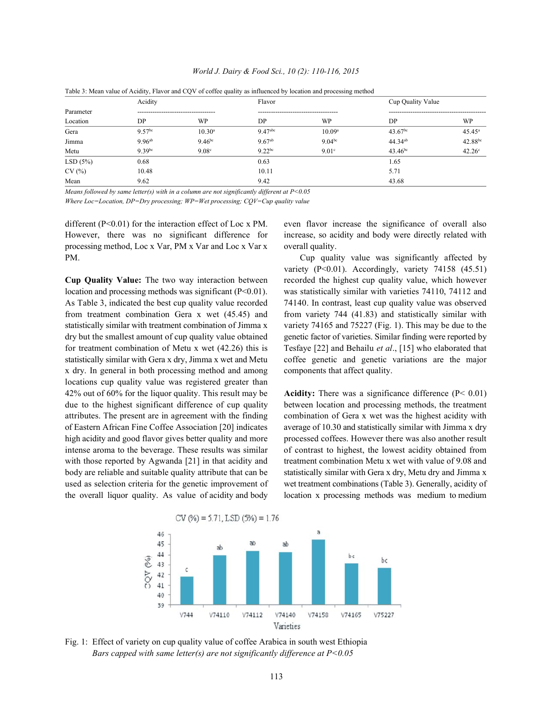|           |             |                    |                       | Table 3: Mean value of Acidity, Flavor and CQV of coffee quality as influenced by location and processing method |                     |                    |
|-----------|-------------|--------------------|-----------------------|------------------------------------------------------------------------------------------------------------------|---------------------|--------------------|
|           | Acidity     |                    | Flavor                |                                                                                                                  | Cup Quality Value   |                    |
| Parameter |             |                    |                       |                                                                                                                  |                     |                    |
| Location  | DP          | WP                 | DP.                   | WP                                                                                                               | DP                  | WP                 |
| Gera      | $9.57^{bc}$ | $10.30^a$          | $9.47$ <sup>abc</sup> | 10.09 <sup>a</sup>                                                                                               | 43.67 <sup>bc</sup> | $45.45^{\circ}$    |
| Jimma     | $9.96^{ab}$ | 9.46 <sup>bc</sup> | $9.67^{ab}$           | $9.04^{bc}$                                                                                                      | $44.34^{ab}$        | 42.88bc            |
| Metu      | 9.39bc      | 9.08 <sup>c</sup>  | $9.22^{bc}$           | 9.01 <sup>c</sup>                                                                                                | $43.46^{bc}$        | 42.26 <sup>c</sup> |
| LSD(5%)   | 0.68        |                    | 0.63                  |                                                                                                                  | 1.65                |                    |
| CV(%)     | 10.48       |                    | 10.11                 |                                                                                                                  | 5.71                |                    |
| Mean      | 9.62        |                    | 9.42                  |                                                                                                                  | 43.68               |                    |

*World J. Dairy & Food Sci., 10 (2): 110-116, 2015*

*Means followed by same letter(s) with in a column are not significantly different at P<0.05 Where Loc=Location, DP=Dry processing; WP=Wet processing; CQV=Cup quality value*

different (P<0.01) for the interaction effect of Loc x PM. even flavor increase the significance of overall also However, there was no significant difference for increase, so acidity and body were directly related with processing method, Loc x Var, PM x Var and Loc x Var x overall quality.

**Cup Quality Value:** The two way interaction between recorded the highest cup quality value, which however location and processing methods was significant (P<0.01). was statistically similar with varieties 74110, 74112 and As Table 3, indicated the best cup quality value recorded 74140. In contrast, least cup quality value was observed from treatment combination Gera x wet (45.45) and from variety 744 (41.83) and statistically similar with statistically similar with treatment combination of Jimma x variety 74165 and 75227 (Fig. 1). This may be due to the dry but the smallest amount of cup quality value obtained genetic factor of varieties. Similar finding were reported by for treatment combination of Metu x wet (42.26) this is Tesfaye [22] and Behailu *et al*., [15] who elaborated that statistically similar with Gera x dry, Jimma x wet and Metu coffee genetic and genetic variations are the major x dry. In general in both processing method and among components that affect quality. locations cup quality value was registered greater than 42% out of 60% for the liquor quality. This result may be **Acidity:** There was a significance difference (P< 0.01) due to the highest significant difference of cup quality between location and processing methods, the treatment attributes. The present are in agreement with the finding combination of Gera x wet was the highest acidity with of Eastern African Fine Coffee Association [20] indicates average of 10.30 and statistically similar with Jimma x dry high acidity and good flavor gives better quality and more processed coffees. However there was also another result intense aroma to the beverage. These results was similar of contrast to highest, the lowest acidity obtained from with those reported by Agwanda [21] in that acidity and treatment combination Metu x wet with value of 9.08 and body are reliable and suitable quality attribute that can be statistically similar with Gera x dry, Metu dry and Jimma x used as selection criteria for the genetic improvement of wet treatment combinations (Table 3). Generally, acidity of the overall liquor quality. As value of acidity and body location x processing methods was medium to medium

PM. Cup quality value was significantly affected by variety (P<0.01). Accordingly, variety 74158 (45.51)



Fig. 1: Effect of variety on cup quality value of coffee Arabica in south west Ethiopia *Bars capped with same letter(s) are not significantly difference at P<0.05*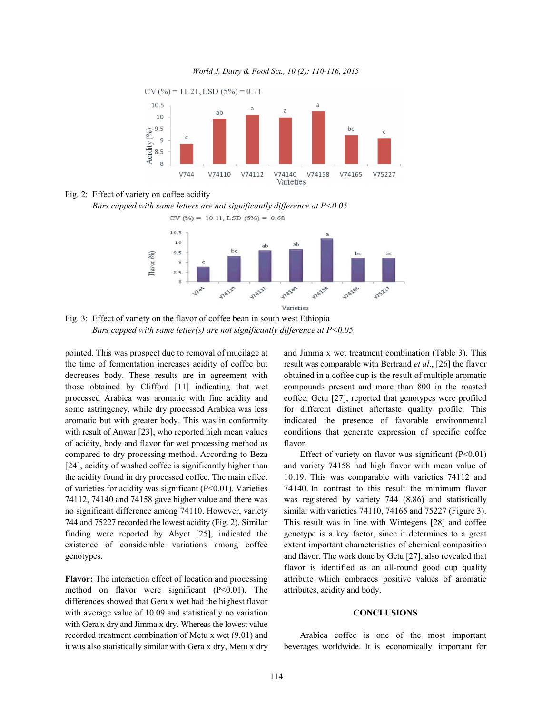*World J. Dairy & Food Sci., 10 (2): 110-116, 2015*





*Bars capped with same letters are not significantly difference at P<0.05*



Fig. 3: Effect of variety on the flavor of coffee bean in south west Ethiopia *Bars capped with same letter(s) are not significantly difference at P<0.05*

the time of fermentation increases acidity of coffee but result was comparable with Bertrand *et al*., [26] the flavor decreases body. These results are in agreement with obtained in a coffee cup is the result of multiple aromatic those obtained by Clifford [11] indicating that wet compounds present and more than 800 in the roasted processed Arabica was aromatic with fine acidity and coffee. Getu [27], reported that genotypes were profiled some astringency, while dry processed Arabica was less for different distinct aftertaste quality profile. This aromatic but with greater body. This was in conformity indicated the presence of favorable environmental with result of Anwar [23], who reported high mean values conditions that generate expression of specific coffee of acidity, body and flavor for wet processing method as flavor. compared to dry processing method. According to Beza Effect of variety on flavor was significant  $(P<0.01)$ the acidity found in dry processed coffee. The main effect 10.19. This was comparable with varieties 74112 and of varieties for acidity was significant ( $P<0.01$ ). Varieties 74140. In contrast to this result the minimum flavor no significant difference among 74110. However, variety similar with varieties 74110, 74165 and 75227 (Figure 3). 744 and 75227 recorded the lowest acidity (Fig. 2). Similar This result was in line with Wintegens [28] and coffee finding were reported by Abyot [25], indicated the genotype is a key factor, since it determines to a great existence of considerable variations among coffee extent important characteristics of chemical composition

method on flavor were significant  $(P<0.01)$ . The attributes, acidity and body. differences showed that Gera x wet had the highest flavor with average value of 10.09 and statistically no variation **CONCLUSIONS** with Gera x dry and Jimma x dry. Whereas the lowest value recorded treatment combination of Metu x wet (9.01) and Arabica coffee is one of the most important it was also statistically similar with Gera x dry, Metu x dry beverages worldwide. It is economically important for

pointed. This was prospect due to removal of mucilage at and Jimma x wet treatment combination (Table 3). This

[24], acidity of washed coffee is significantly higher than and variety 74158 had high flavor with mean value of 74112, 74140 and 74158 gave higher value and there was was registered by variety 744 (8.86) and statistically genotypes. and flavor. The work done by Getu [27], also revealed that **Flavor:** The interaction effect of location and processing attribute which embraces positive values of aromatic flavor is identified as an all-round good cup quality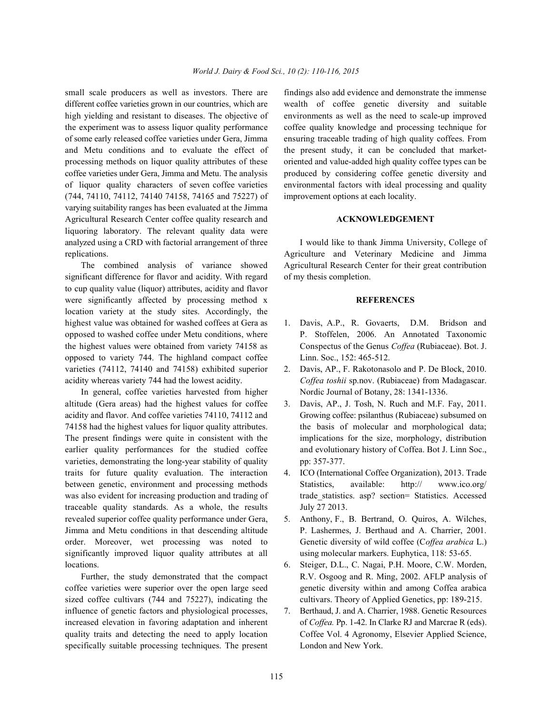different coffee varieties grown in our countries, which are wealth of coffee genetic diversity and suitable high yielding and resistant to diseases. The objective of environments as well as the need to scale-up improved the experiment was to assess liquor quality performance coffee quality knowledge and processing technique for of some early released coffee varieties under Gera, Jimma ensuring traceable trading of high quality coffees. From and Metu conditions and to evaluate the effect of the present study, it can be concluded that marketprocessing methods on liquor quality attributes of these oriented and value-added high quality coffee types can be coffee varieties under Gera, Jimma and Metu. The analysis produced by considering coffee genetic diversity and of liquor quality characters of seven coffee varieties environmental factors with ideal processing and quality (744, 74110, 74112, 74140 74158, 74165 and 75227) of improvement options at each locality. varying suitability ranges has been evaluated at the Jimma Agricultural Research Center coffee quality research and **ACKNOWLEDGEMENT** liquoring laboratory. The relevant quality data were analyzed using a CRD with factorial arrangement of three I would like to thank Jimma University, College of replications. Agriculture and Veterinary Medicine and Jimma

significant difference for flavor and acidity. With regard of my thesis completion. to cup quality value (liquor) attributes, acidity and flavor were significantly affected by processing method x **REFERENCES** location variety at the study sites. Accordingly, the highest value was obtained for washed coffees at Gera as 1. Davis, A.P., R. Govaerts, D.M. Bridson and opposed to washed coffee under Metu conditions, where P. Stoffelen, 2006. An Annotated Taxonomic the highest values were obtained from variety 74158 as Conspectus of the Genus *Coffea* (Rubiaceae). Bot. J. opposed to variety 744. The highland compact coffee Linn. Soc., 152: 465-512. varieties (74112, 74140 and 74158) exhibited superior 2. Davis, AP., F. Rakotonasolo and P. De Block, 2010. acidity whereas variety 744 had the lowest acidity. *Coffea toshii* sp.nov. (Rubiaceae) from Madagascar.

In general, coffee varieties harvested from higher Nordic Journal of Botany, 28: 1341-1336. altitude (Gera areas) had the highest values for coffee 3. Davis, AP., J. Tosh, N. Ruch and M.F. Fay, 2011. acidity and flavor. And coffee varieties 74110, 74112 and Growing coffee: psilanthus (Rubiaceae) subsumed on 74158 had the highest values for liquor quality attributes. the basis of molecular and morphological data; The present findings were quite in consistent with the implications for the size, morphology, distribution earlier quality performances for the studied coffee and evolutionary history of Coffea. Bot J. Linn Soc., varieties, demonstrating the long-year stability of quality pp: 357-377. traits for future quality evaluation. The interaction 4. ICO (International Coffee Organization), 2013. Trade between genetic, environment and processing methods Statistics, available: http:// www.ico.org/ was also evident for increasing production and trading of trade\_statistics. asp? section= Statistics. Accessed traceable quality standards. As a whole, the results July 27 2013. revealed superior coffee quality performance under Gera, 5. Anthony, F., B. Bertrand, O. Quiros, A. Wilches, Jimma and Metu conditions in that descending altitude P. Lashermes, J. Berthaud and A. Charrier, 2001. order. Moreover, wet processing was noted to Genetic diversity of wild coffee (C*offea arabica* L.) significantly improved liquor quality attributes at all using molecular markers. Euphytica, 118: 53-65. locations. 6. Steiger, D.L., C. Nagai, P.H. Moore, C.W. Morden,

coffee varieties were superior over the open large seed genetic diversity within and among Coffea arabica sized coffee cultivars (744 and 75227), indicating the cultivars. Theory of Applied Genetics, pp: 189-215. influence of genetic factors and physiological processes, 7. Berthaud, J. and A. Charrier, 1988. Genetic Resources increased elevation in favoring adaptation and inherent of *Coffea.* Pp. 1-42. In Clarke RJ and Marcrae R (eds). quality traits and detecting the need to apply location Coffee Vol. 4 Agronomy, Elsevier Applied Science, specifically suitable processing techniques. The present London and New York.

small scale producers as well as investors. There are findings also add evidence and demonstrate the immense

The combined analysis of variance showed Agricultural Research Center for their great contribution

- 
- 
- 
- 
- 
- Further, the study demonstrated that the compact R.V. Osgoog and R. Ming, 2002. AFLP analysis of
	-